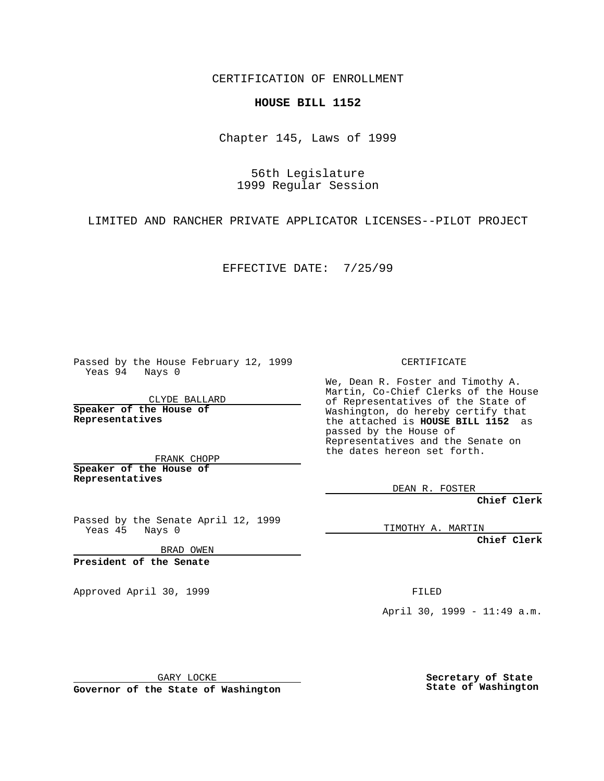CERTIFICATION OF ENROLLMENT

## **HOUSE BILL 1152**

Chapter 145, Laws of 1999

56th Legislature 1999 Regular Session

LIMITED AND RANCHER PRIVATE APPLICATOR LICENSES--PILOT PROJECT

EFFECTIVE DATE: 7/25/99

Passed by the House February 12, 1999 Yeas 94 Nays 0

CLYDE BALLARD **Speaker of the House of Representatives**

FRANK CHOPP **Speaker of the House of Representatives**

Passed by the Senate April 12, 1999<br>Yeas 45 Nays 0  $Yeas 45$ 

BRAD OWEN

**President of the Senate**

Approved April 30, 1999 **FILED** 

## CERTIFICATE

We, Dean R. Foster and Timothy A. Martin, Co-Chief Clerks of the House of Representatives of the State of Washington, do hereby certify that the attached is **HOUSE BILL 1152** as passed by the House of Representatives and the Senate on the dates hereon set forth.

DEAN R. FOSTER

**Chief Clerk**

TIMOTHY A. MARTIN

**Chief Clerk**

April 30, 1999 - 11:49 a.m.

GARY LOCKE

**Governor of the State of Washington**

**Secretary of State State of Washington**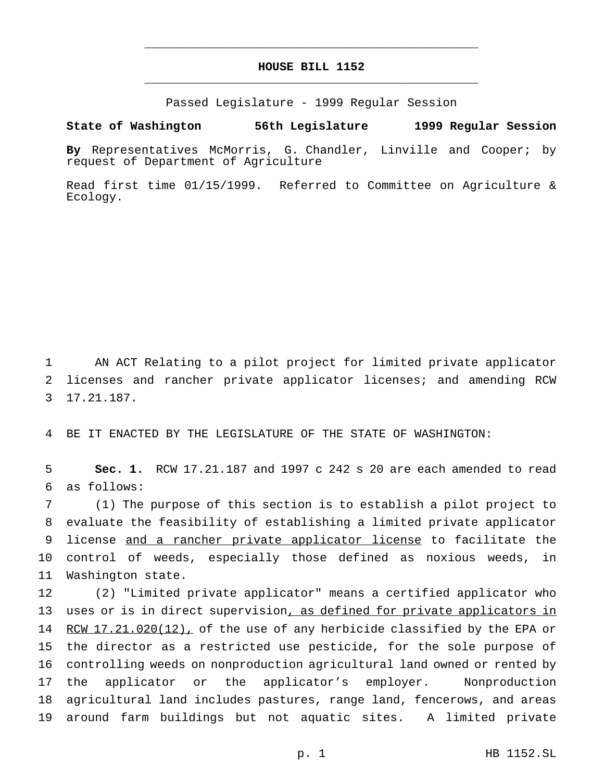## **HOUSE BILL 1152** \_\_\_\_\_\_\_\_\_\_\_\_\_\_\_\_\_\_\_\_\_\_\_\_\_\_\_\_\_\_\_\_\_\_\_\_\_\_\_\_\_\_\_\_\_\_\_

\_\_\_\_\_\_\_\_\_\_\_\_\_\_\_\_\_\_\_\_\_\_\_\_\_\_\_\_\_\_\_\_\_\_\_\_\_\_\_\_\_\_\_\_\_\_\_

Passed Legislature - 1999 Regular Session

## **State of Washington 56th Legislature 1999 Regular Session**

**By** Representatives McMorris, G. Chandler, Linville and Cooper; by request of Department of Agriculture

Read first time 01/15/1999. Referred to Committee on Agriculture & Ecology.

1 AN ACT Relating to a pilot project for limited private applicator 2 licenses and rancher private applicator licenses; and amending RCW 3 17.21.187.

4 BE IT ENACTED BY THE LEGISLATURE OF THE STATE OF WASHINGTON:

5 **Sec. 1.** RCW 17.21.187 and 1997 c 242 s 20 are each amended to read 6 as follows:

 (1) The purpose of this section is to establish a pilot project to evaluate the feasibility of establishing a limited private applicator 9 license and a rancher private applicator license to facilitate the control of weeds, especially those defined as noxious weeds, in Washington state.

 (2) "Limited private applicator" means a certified applicator who 13 uses or is in direct supervision, as defined for private applicators in 14 RCW 17.21.020(12), of the use of any herbicide classified by the EPA or the director as a restricted use pesticide, for the sole purpose of controlling weeds on nonproduction agricultural land owned or rented by the applicator or the applicator's employer. Nonproduction agricultural land includes pastures, range land, fencerows, and areas around farm buildings but not aquatic sites. A limited private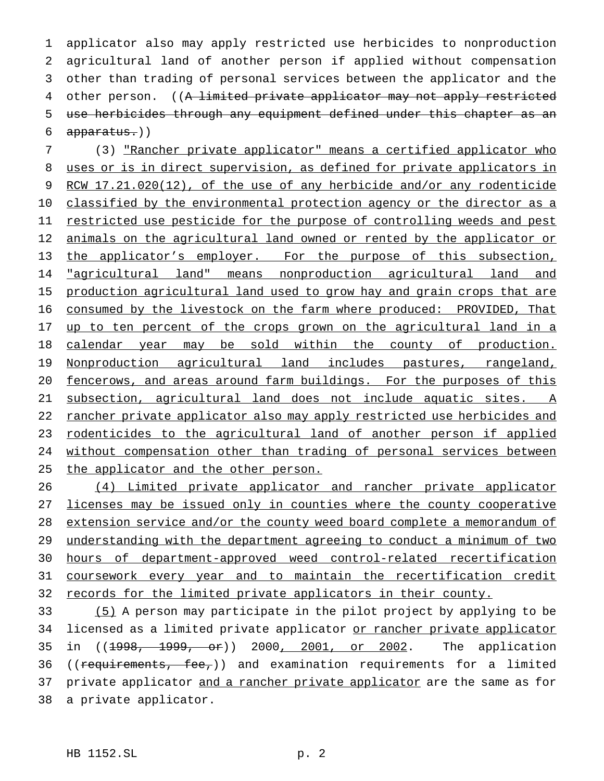applicator also may apply restricted use herbicides to nonproduction agricultural land of another person if applied without compensation other than trading of personal services between the applicator and the 4 other person. ((A limited private applicator may not apply restricted use herbicides through any equipment defined under this chapter as an apparatus.))

 (3) "Rancher private applicator" means a certified applicator who uses or is in direct supervision, as defined for private applicators in 9 RCW 17.21.020(12), of the use of any herbicide and/or any rodenticide 10 classified by the environmental protection agency or the director as a 11 restricted use pesticide for the purpose of controlling weeds and pest 12 animals on the agricultural land owned or rented by the applicator or 13 the applicator's employer. For the purpose of this subsection, **"agricultural land"** means nonproduction agricultural land and 15 production agricultural land used to grow hay and grain crops that are consumed by the livestock on the farm where produced: PROVIDED, That 17 up to ten percent of the crops grown on the agricultural land in a calendar year may be sold within the county of production. Nonproduction agricultural land includes pastures, rangeland, fencerows, and areas around farm buildings. For the purposes of this subsection, agricultural land does not include aquatic sites. A 22 rancher private applicator also may apply restricted use herbicides and rodenticides to the agricultural land of another person if applied without compensation other than trading of personal services between 25 the applicator and the other person.

 (4) Limited private applicator and rancher private applicator licenses may be issued only in counties where the county cooperative extension service and/or the county weed board complete a memorandum of understanding with the department agreeing to conduct a minimum of two hours of department-approved weed control-related recertification coursework every year and to maintain the recertification credit 32 records for the limited private applicators in their county.

 (5) A person may participate in the pilot project by applying to be 34 licensed as a limited private applicator or rancher private applicator in ((1998, 1999, or)) 2000, 2001, or 2002. The application 36 ((requirements, fee,)) and examination requirements for a limited 37 private applicator and a rancher private applicator are the same as for a private applicator.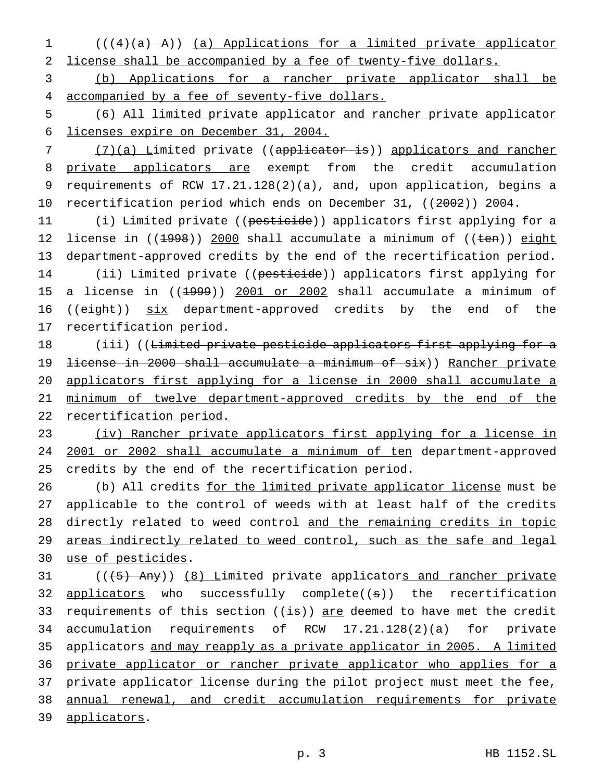1 (((4)(a) A)) (a) Applications for a limited private applicator 2 license shall be accompanied by a fee of twenty-five dollars.

3 (b) Applications for a rancher private applicator shall be 4 accompanied by a fee of seventy-five dollars.

5 (6) All limited private applicator and rancher private applicator 6 licenses expire on December 31, 2004.

7 (7)(a) Limited private ((applicator is)) applicators and rancher 8 private applicators are exempt from the credit accumulation 9 requirements of RCW 17.21.128(2)(a), and, upon application, begins a 10 recertification period which ends on December 31, ((2002)) 2004.

11 (i) Limited private ((pesticide)) applicators first applying for a 12 license in ((1998)) 2000 shall accumulate a minimum of ((ten)) eight 13 department-approved credits by the end of the recertification period. 14 (ii) Limited private ((pesticide)) applicators first applying for 15 a license in ((1999)) 2001 or 2002 shall accumulate a minimum of 16 ((eight)) six department-approved credits by the end of the 17 recertification period.

18 (iii) ((Limited private pesticide applicators first applying for a 19 <del>license in 2000 shall accumulate a minimum of six</del>)) Rancher private 20 applicators first applying for a license in 2000 shall accumulate a 21 minimum of twelve department-approved credits by the end of the 22 recertification period.

23 (iv) Rancher private applicators first applying for a license in 24 2001 or 2002 shall accumulate a minimum of ten department-approved 25 credits by the end of the recertification period.

26 (b) All credits for the limited private applicator license must be applicable to the control of weeds with at least half of the credits directly related to weed control and the remaining credits in topic areas indirectly related to weed control, such as the safe and legal use of pesticides.

31 (((5) Any)) (8) Limited private applicators and rancher private 32 applicators who successfully complete((s)) the recertification 33 requirements of this section  $((i\overline{s}))$  are deemed to have met the credit 34 accumulation requirements of RCW 17.21.128(2)(a) for private 35 applicators and may reapply as a private applicator in 2005. A limited 36 private applicator or rancher private applicator who applies for a 37 private applicator license during the pilot project must meet the fee, 38 annual renewal, and credit accumulation requirements for private 39 applicators.